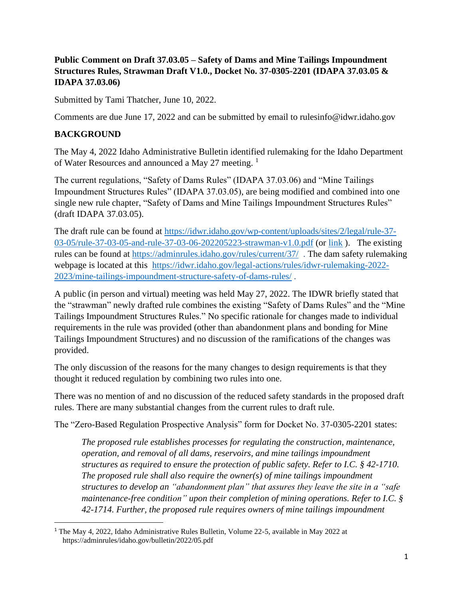### **Public Comment on Draft 37.03.05 – Safety of Dams and Mine Tailings Impoundment Structures Rules, Strawman Draft V1.0., Docket No. 37-0305-2201 (IDAPA 37.03.05 & IDAPA 37.03.06)**

Submitted by Tami Thatcher, June 10, 2022.

Comments are due June 17, 2022 and can be submitted by email to rulesinfo@idwr.idaho.gov

#### **BACKGROUND**

The May 4, 2022 Idaho Administrative Bulletin identified rulemaking for the Idaho Department of Water Resources and announced a May 27 meeting.<sup>1</sup>

The current regulations, "Safety of Dams Rules" (IDAPA 37.03.06) and "Mine Tailings Impoundment Structures Rules" (IDAPA 37.03.05), are being modified and combined into one single new rule chapter, "Safety of Dams and Mine Tailings Impoundment Structures Rules" (draft IDAPA 37.03.05).

The draft rule can be found at [https://idwr.idaho.gov/wp-content/uploads/sites/2/legal/rule-37-](https://idwr.idaho.gov/wp-content/uploads/sites/2/legal/rule-37-03-05/rule-37-03-05-and-rule-37-03-06-202205223-strawman-v1.0.pdf) [03-05/rule-37-03-05-and-rule-37-03-06-202205223-strawman-v1.0.pdf](https://idwr.idaho.gov/wp-content/uploads/sites/2/legal/rule-37-03-05/rule-37-03-05-and-rule-37-03-06-202205223-strawman-v1.0.pdf) (or [link](https://idwr.idaho.gov/wp-content/uploads/sites/2/legal/Rule-37-03-05/Rule-37-03-05-and-Rule-37-03-06-20220523-Strawman-v1.0.pdf) ). The existing rules can be found at <https://adminrules.idaho.gov/rules/current/37/> . The dam safety rulemaking webpage is located at this [https://idwr.idaho.gov/legal-actions/rules/idwr-rulemaking-2022-](https://idwr.idaho.gov/legal-actions/rules/idwr-rulemaking-2022-2023/mine-tailings-impoundment-structure-safety-of-dams-rules/) [2023/mine-tailings-impoundment-structure-safety-of-dams-rules/](https://idwr.idaho.gov/legal-actions/rules/idwr-rulemaking-2022-2023/mine-tailings-impoundment-structure-safety-of-dams-rules/) .

A public (in person and virtual) meeting was held May 27, 2022. The IDWR briefly stated that the "strawman" newly drafted rule combines the existing "Safety of Dams Rules" and the "Mine Tailings Impoundment Structures Rules." No specific rationale for changes made to individual requirements in the rule was provided (other than abandonment plans and bonding for Mine Tailings Impoundment Structures) and no discussion of the ramifications of the changes was provided.

The only discussion of the reasons for the many changes to design requirements is that they thought it reduced regulation by combining two rules into one.

There was no mention of and no discussion of the reduced safety standards in the proposed draft rules. There are many substantial changes from the current rules to draft rule.

The "Zero-Based Regulation Prospective Analysis" form for Docket No. 37-0305-2201 states:

*The proposed rule establishes processes for regulating the construction, maintenance, operation, and removal of all dams, reservoirs, and mine tailings impoundment structures as required to ensure the protection of public safety. Refer to I.C. § 42-1710. The proposed rule shall also require the owner(s) of mine tailings impoundment structures to develop an "abandonment plan" that assures they leave the site in a "safe maintenance-free condition" upon their completion of mining operations. Refer to I.C. § 42-1714. Further, the proposed rule requires owners of mine tailings impoundment* 

<sup>&</sup>lt;sup>1</sup> The May 4, 2022, Idaho Administrative Rules Bulletin, Volume 22-5, available in May 2022 at https://adminrules/idaho.gov/bulletin/2022/05.pdf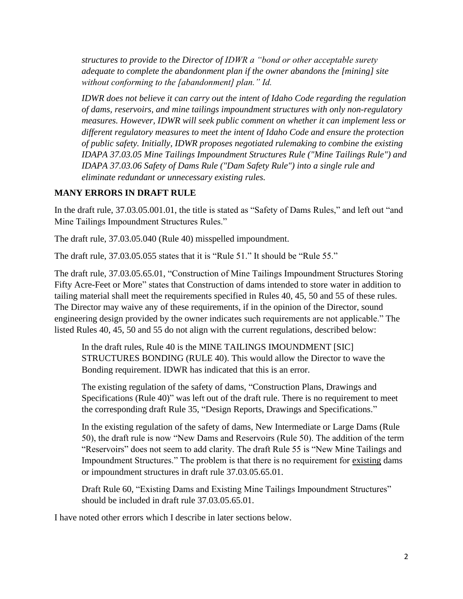*structures to provide to the Director of IDWR a "bond or other acceptable surety adequate to complete the abandonment plan if the owner abandons the [mining] site without conforming to the [abandonment] plan." Id.*

*IDWR does not believe it can carry out the intent of Idaho Code regarding the regulation of dams, reservoirs, and mine tailings impoundment structures with only non-regulatory measures. However, IDWR will seek public comment on whether it can implement less or different regulatory measures to meet the intent of Idaho Code and ensure the protection of public safety. Initially, IDWR proposes negotiated rulemaking to combine the existing IDAPA 37.03.05 Mine Tailings Impoundment Structures Rule ("Mine Tailings Rule") and IDAPA 37.03.06 Safety of Dams Rule ("Dam Safety Rule") into a single rule and eliminate redundant or unnecessary existing rules.*

#### **MANY ERRORS IN DRAFT RULE**

In the draft rule, 37.03.05.001.01, the title is stated as "Safety of Dams Rules," and left out "and Mine Tailings Impoundment Structures Rules."

The draft rule, 37.03.05.040 (Rule 40) misspelled impoundment.

The draft rule, 37.03.05.055 states that it is "Rule 51." It should be "Rule 55."

The draft rule, 37.03.05.65.01, "Construction of Mine Tailings Impoundment Structures Storing Fifty Acre-Feet or More" states that Construction of dams intended to store water in addition to tailing material shall meet the requirements specified in Rules 40, 45, 50 and 55 of these rules. The Director may waive any of these requirements, if in the opinion of the Director, sound engineering design provided by the owner indicates such requirements are not applicable." The listed Rules 40, 45, 50 and 55 do not align with the current regulations, described below:

In the draft rules, Rule 40 is the MINE TAILINGS IMOUNDMENT [SIC] STRUCTURES BONDING (RULE 40). This would allow the Director to wave the Bonding requirement. IDWR has indicated that this is an error.

The existing regulation of the safety of dams, "Construction Plans, Drawings and Specifications (Rule 40)" was left out of the draft rule. There is no requirement to meet the corresponding draft Rule 35, "Design Reports, Drawings and Specifications."

In the existing regulation of the safety of dams, New Intermediate or Large Dams (Rule 50), the draft rule is now "New Dams and Reservoirs (Rule 50). The addition of the term "Reservoirs" does not seem to add clarity. The draft Rule 55 is "New Mine Tailings and Impoundment Structures." The problem is that there is no requirement for existing dams or impoundment structures in draft rule 37.03.05.65.01.

Draft Rule 60, "Existing Dams and Existing Mine Tailings Impoundment Structures" should be included in draft rule 37.03.05.65.01.

I have noted other errors which I describe in later sections below.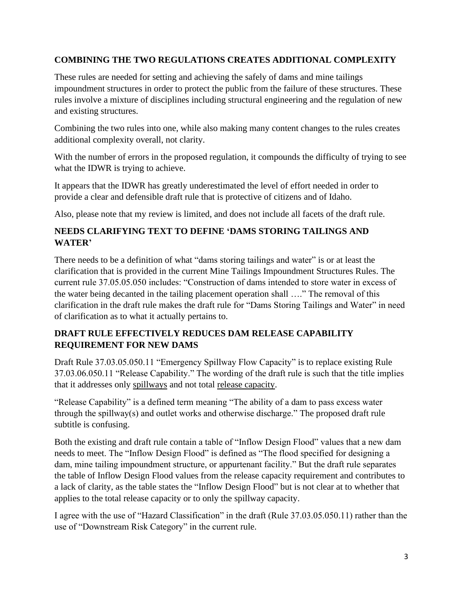# **COMBINING THE TWO REGULATIONS CREATES ADDITIONAL COMPLEXITY**

These rules are needed for setting and achieving the safely of dams and mine tailings impoundment structures in order to protect the public from the failure of these structures. These rules involve a mixture of disciplines including structural engineering and the regulation of new and existing structures.

Combining the two rules into one, while also making many content changes to the rules creates additional complexity overall, not clarity.

With the number of errors in the proposed regulation, it compounds the difficulty of trying to see what the IDWR is trying to achieve.

It appears that the IDWR has greatly underestimated the level of effort needed in order to provide a clear and defensible draft rule that is protective of citizens and of Idaho.

Also, please note that my review is limited, and does not include all facets of the draft rule.

# **NEEDS CLARIFYING TEXT TO DEFINE 'DAMS STORING TAILINGS AND WATER'**

There needs to be a definition of what "dams storing tailings and water" is or at least the clarification that is provided in the current Mine Tailings Impoundment Structures Rules. The current rule 37.05.05.050 includes: "Construction of dams intended to store water in excess of the water being decanted in the tailing placement operation shall …." The removal of this clarification in the draft rule makes the draft rule for "Dams Storing Tailings and Water" in need of clarification as to what it actually pertains to.

### **DRAFT RULE EFFECTIVELY REDUCES DAM RELEASE CAPABILITY REQUIREMENT FOR NEW DAMS**

Draft Rule 37.03.05.050.11 "Emergency Spillway Flow Capacity" is to replace existing Rule 37.03.06.050.11 "Release Capability." The wording of the draft rule is such that the title implies that it addresses only spillways and not total release capacity.

"Release Capability" is a defined term meaning "The ability of a dam to pass excess water through the spillway(s) and outlet works and otherwise discharge." The proposed draft rule subtitle is confusing.

Both the existing and draft rule contain a table of "Inflow Design Flood" values that a new dam needs to meet. The "Inflow Design Flood" is defined as "The flood specified for designing a dam, mine tailing impoundment structure, or appurtenant facility." But the draft rule separates the table of Inflow Design Flood values from the release capacity requirement and contributes to a lack of clarity, as the table states the "Inflow Design Flood" but is not clear at to whether that applies to the total release capacity or to only the spillway capacity.

I agree with the use of "Hazard Classification" in the draft (Rule 37.03.05.050.11) rather than the use of "Downstream Risk Category" in the current rule.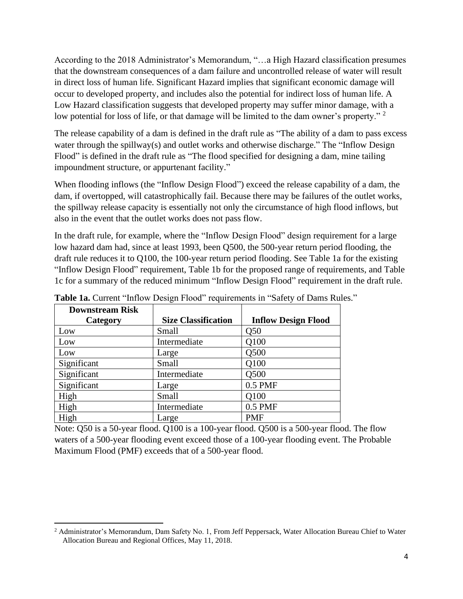According to the 2018 Administrator's Memorandum, "…a High Hazard classification presumes that the downstream consequences of a dam failure and uncontrolled release of water will result in direct loss of human life. Significant Hazard implies that significant economic damage will occur to developed property, and includes also the potential for indirect loss of human life. A Low Hazard classification suggests that developed property may suffer minor damage, with a low potential for loss of life, or that damage will be limited to the dam owner's property."<sup>2</sup>

The release capability of a dam is defined in the draft rule as "The ability of a dam to pass excess water through the spillway(s) and outlet works and otherwise discharge." The "Inflow Design Flood" is defined in the draft rule as "The flood specified for designing a dam, mine tailing impoundment structure, or appurtenant facility."

When flooding inflows (the "Inflow Design Flood") exceed the release capability of a dam, the dam, if overtopped, will catastrophically fail. Because there may be failures of the outlet works, the spillway release capacity is essentially not only the circumstance of high flood inflows, but also in the event that the outlet works does not pass flow.

In the draft rule, for example, where the "Inflow Design Flood" design requirement for a large low hazard dam had, since at least 1993, been Q500, the 500-year return period flooding, the draft rule reduces it to Q100, the 100-year return period flooding. See Table 1a for the existing "Inflow Design Flood" requirement, Table 1b for the proposed range of requirements, and Table 1c for a summary of the reduced minimum "Inflow Design Flood" requirement in the draft rule.

| <b>Downstream Risk</b> |                            |                            |
|------------------------|----------------------------|----------------------------|
| Category               | <b>Size Classification</b> | <b>Inflow Design Flood</b> |
| Low                    | Small                      | Q50                        |
| Low                    | Intermediate               | Q100                       |
| Low                    | Large                      | Q500                       |
| Significant            | Small                      | Q100                       |
| Significant            | Intermediate               | Q500                       |
| Significant            | Large                      | $0.5$ PMF                  |
| High                   | Small                      | Q100                       |
| High                   | Intermediate               | 0.5 PMF                    |
| High                   | Large                      | <b>PMF</b>                 |

Table 1a. Current "Inflow Design Flood" requirements in "Safety of Dams Rules."

Note: Q50 is a 50-year flood. Q100 is a 100-year flood. Q500 is a 500-year flood. The flow waters of a 500-year flooding event exceed those of a 100-year flooding event. The Probable Maximum Flood (PMF) exceeds that of a 500-year flood.

<sup>&</sup>lt;sup>2</sup> Administrator's Memorandum, Dam Safety No. 1, From Jeff Peppersack, Water Allocation Bureau Chief to Water Allocation Bureau and Regional Offices, May 11, 2018.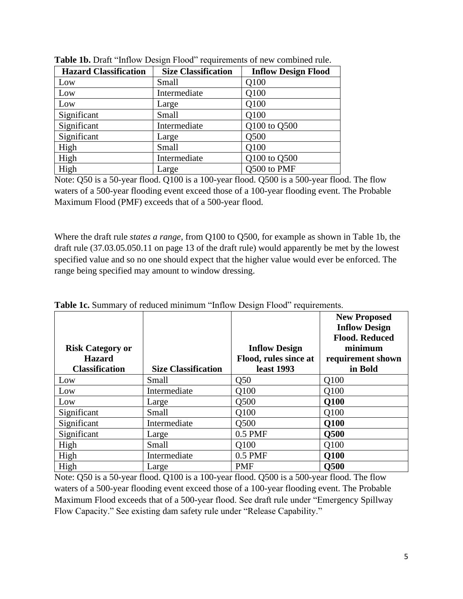| <b>Hazard Classification</b> | <b>Size Classification</b> | <b>Inflow Design Flood</b> |
|------------------------------|----------------------------|----------------------------|
| Low                          | Small                      | Q100                       |
| Low                          | Intermediate               | Q100                       |
| Low                          | Large                      | Q100                       |
| Significant                  | Small                      | Q100                       |
| Significant                  | Intermediate               | Q100 to Q500               |
| Significant                  | Large                      | Q500                       |
| High                         | Small                      | Q100                       |
| High                         | Intermediate               | Q100 to Q500               |
| High                         | Large                      | Q500 to PMF                |

**Table 1b.** Draft "Inflow Design Flood" requirements of new combined rule.

Note: Q50 is a 50-year flood. Q100 is a 100-year flood. Q500 is a 500-year flood. The flow waters of a 500-year flooding event exceed those of a 100-year flooding event. The Probable Maximum Flood (PMF) exceeds that of a 500-year flood.

Where the draft rule *states a range*, from Q100 to Q500, for example as shown in Table 1b, the draft rule (37.03.05.050.11 on page 13 of the draft rule) would apparently be met by the lowest specified value and so no one should expect that the higher value would ever be enforced. The range being specified may amount to window dressing.

| Tuble Ici Buniniui y of requeeu minimum minow Design I food Tequn ements. |                            |                       |                                                                      |  |
|---------------------------------------------------------------------------|----------------------------|-----------------------|----------------------------------------------------------------------|--|
|                                                                           |                            |                       | <b>New Proposed</b><br><b>Inflow Design</b><br><b>Flood. Reduced</b> |  |
| <b>Risk Category or</b>                                                   |                            | <b>Inflow Design</b>  | minimum                                                              |  |
| <b>Hazard</b>                                                             |                            | Flood, rules since at | requirement shown                                                    |  |
| <b>Classification</b>                                                     | <b>Size Classification</b> | least 1993            | in Bold                                                              |  |
| Low                                                                       | Small                      | Q50                   | Q100                                                                 |  |
| Low                                                                       | Intermediate               | Q100                  | Q100                                                                 |  |
| Low                                                                       | Large                      | Q500                  | <b>Q100</b>                                                          |  |
| Significant                                                               | Small                      | Q100                  | Q100                                                                 |  |
| Significant                                                               | Intermediate               | Q500                  | <b>Q100</b>                                                          |  |
| Significant                                                               | Large                      | $0.5$ PMF             | <b>Q500</b>                                                          |  |
| High                                                                      | Small                      | O100                  | Q100                                                                 |  |
| High                                                                      | Intermediate               | $0.5$ PMF             | <b>Q100</b>                                                          |  |
| High                                                                      | Large                      | <b>PMF</b>            | <b>O500</b>                                                          |  |

**Table 1c.** Summary of reduced minimum "Inflow Design Flood" requirements.

Note: Q50 is a 50-year flood. Q100 is a 100-year flood. Q500 is a 500-year flood. The flow waters of a 500-year flooding event exceed those of a 100-year flooding event. The Probable Maximum Flood exceeds that of a 500-year flood. See draft rule under "Emergency Spillway Flow Capacity." See existing dam safety rule under "Release Capability."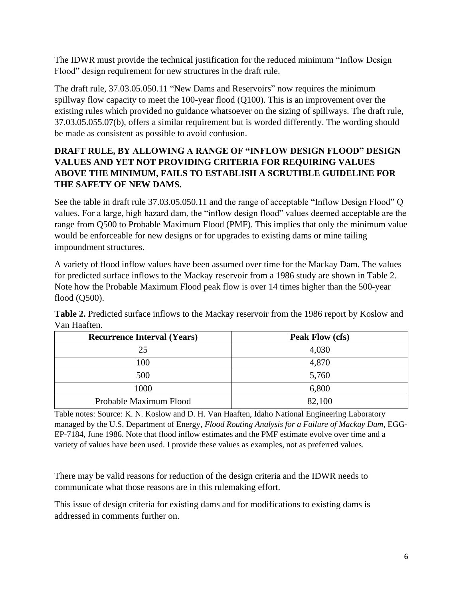The IDWR must provide the technical justification for the reduced minimum "Inflow Design Flood" design requirement for new structures in the draft rule.

The draft rule, 37.03.05.050.11 "New Dams and Reservoirs" now requires the minimum spillway flow capacity to meet the 100-year flood (Q100). This is an improvement over the existing rules which provided no guidance whatsoever on the sizing of spillways. The draft rule, 37.03.05.055.07(b), offers a similar requirement but is worded differently. The wording should be made as consistent as possible to avoid confusion.

# **DRAFT RULE, BY ALLOWING A RANGE OF "INFLOW DESIGN FLOOD" DESIGN VALUES AND YET NOT PROVIDING CRITERIA FOR REQUIRING VALUES ABOVE THE MINIMUM, FAILS TO ESTABLISH A SCRUTIBLE GUIDELINE FOR THE SAFETY OF NEW DAMS.**

See the table in draft rule 37.03.05.050.11 and the range of acceptable "Inflow Design Flood" Q values. For a large, high hazard dam, the "inflow design flood" values deemed acceptable are the range from Q500 to Probable Maximum Flood (PMF). This implies that only the minimum value would be enforceable for new designs or for upgrades to existing dams or mine tailing impoundment structures.

A variety of flood inflow values have been assumed over time for the Mackay Dam. The values for predicted surface inflows to the Mackay reservoir from a 1986 study are shown in Table 2. Note how the Probable Maximum Flood peak flow is over 14 times higher than the 500-year flood (Q500).

| <b>Recurrence Interval (Years)</b> | Peak Flow (cfs) |
|------------------------------------|-----------------|
| 25                                 | 4,030           |
| 100                                | 4,870           |
| 500                                | 5,760           |
| 1000                               | 6,800           |
| Probable Maximum Flood             | 82,100          |

**Table 2.** Predicted surface inflows to the Mackay reservoir from the 1986 report by Koslow and Van Haaften.

Table notes: Source: K. N. Koslow and D. H. Van Haaften, Idaho National Engineering Laboratory managed by the U.S. Department of Energy, *Flood Routing Analysis for a Failure of Mackay Dam*, EGG-EP-7184, June 1986. Note that flood inflow estimates and the PMF estimate evolve over time and a variety of values have been used. I provide these values as examples, not as preferred values.

There may be valid reasons for reduction of the design criteria and the IDWR needs to communicate what those reasons are in this rulemaking effort.

This issue of design criteria for existing dams and for modifications to existing dams is addressed in comments further on.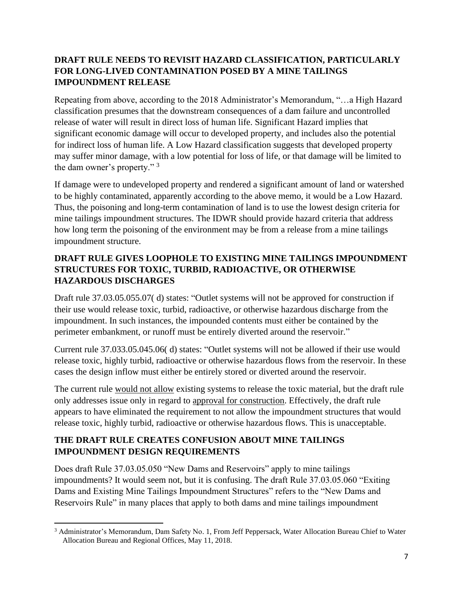## **DRAFT RULE NEEDS TO REVISIT HAZARD CLASSIFICATION, PARTICULARLY FOR LONG-LIVED CONTAMINATION POSED BY A MINE TAILINGS IMPOUNDMENT RELEASE**

Repeating from above, according to the 2018 Administrator's Memorandum, "…a High Hazard classification presumes that the downstream consequences of a dam failure and uncontrolled release of water will result in direct loss of human life. Significant Hazard implies that significant economic damage will occur to developed property, and includes also the potential for indirect loss of human life. A Low Hazard classification suggests that developed property may suffer minor damage, with a low potential for loss of life, or that damage will be limited to the dam owner's property." <sup>3</sup>

If damage were to undeveloped property and rendered a significant amount of land or watershed to be highly contaminated, apparently according to the above memo, it would be a Low Hazard. Thus, the poisoning and long-term contamination of land is to use the lowest design criteria for mine tailings impoundment structures. The IDWR should provide hazard criteria that address how long term the poisoning of the environment may be from a release from a mine tailings impoundment structure.

# **DRAFT RULE GIVES LOOPHOLE TO EXISTING MINE TAILINGS IMPOUNDMENT STRUCTURES FOR TOXIC, TURBID, RADIOACTIVE, OR OTHERWISE HAZARDOUS DISCHARGES**

Draft rule 37.03.05.055.07( d) states: "Outlet systems will not be approved for construction if their use would release toxic, turbid, radioactive, or otherwise hazardous discharge from the impoundment. In such instances, the impounded contents must either be contained by the perimeter embankment, or runoff must be entirely diverted around the reservoir."

Current rule 37.033.05.045.06( d) states: "Outlet systems will not be allowed if their use would release toxic, highly turbid, radioactive or otherwise hazardous flows from the reservoir. In these cases the design inflow must either be entirely stored or diverted around the reservoir.

The current rule would not allow existing systems to release the toxic material, but the draft rule only addresses issue only in regard to approval for construction. Effectively, the draft rule appears to have eliminated the requirement to not allow the impoundment structures that would release toxic, highly turbid, radioactive or otherwise hazardous flows. This is unacceptable.

# **THE DRAFT RULE CREATES CONFUSION ABOUT MINE TAILINGS IMPOUNDMENT DESIGN REQUIREMENTS**

Does draft Rule 37.03.05.050 "New Dams and Reservoirs" apply to mine tailings impoundments? It would seem not, but it is confusing. The draft Rule 37.03.05.060 "Exiting Dams and Existing Mine Tailings Impoundment Structures" refers to the "New Dams and Reservoirs Rule" in many places that apply to both dams and mine tailings impoundment

<sup>3</sup> Administrator's Memorandum, Dam Safety No. 1, From Jeff Peppersack, Water Allocation Bureau Chief to Water Allocation Bureau and Regional Offices, May 11, 2018.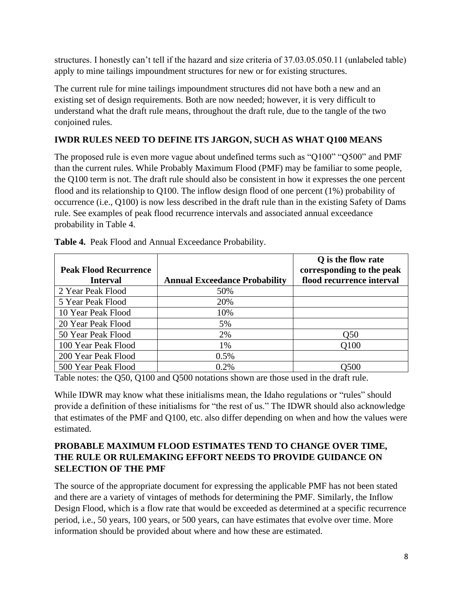structures. I honestly can't tell if the hazard and size criteria of 37.03.05.050.11 (unlabeled table) apply to mine tailings impoundment structures for new or for existing structures.

The current rule for mine tailings impoundment structures did not have both a new and an existing set of design requirements. Both are now needed; however, it is very difficult to understand what the draft rule means, throughout the draft rule, due to the tangle of the two conjoined rules.

### **IWDR RULES NEED TO DEFINE ITS JARGON, SUCH AS WHAT Q100 MEANS**

The proposed rule is even more vague about undefined terms such as "Q100" "Q500" and PMF than the current rules. While Probably Maximum Flood (PMF) may be familiar to some people, the Q100 term is not. The draft rule should also be consistent in how it expresses the one percent flood and its relationship to Q100. The inflow design flood of one percent (1%) probability of occurrence (i.e., Q100) is now less described in the draft rule than in the existing Safety of Dams rule. See examples of peak flood recurrence intervals and associated annual exceedance probability in Table 4.

| <b>Peak Flood Recurrence</b> |                                      | Q is the flow rate<br>corresponding to the peak |
|------------------------------|--------------------------------------|-------------------------------------------------|
| <b>Interval</b>              | <b>Annual Exceedance Probability</b> | flood recurrence interval                       |
| 2 Year Peak Flood            | 50%                                  |                                                 |
| 5 Year Peak Flood            | 20%                                  |                                                 |
| 10 Year Peak Flood           | 10%                                  |                                                 |
| 20 Year Peak Flood           | 5%                                   |                                                 |
| 50 Year Peak Flood           | 2%                                   | O <sub>50</sub>                                 |
| 100 Year Peak Flood          | 1%                                   | Q100                                            |
| 200 Year Peak Flood          | 0.5%                                 |                                                 |
| 500 Year Peak Flood          | 0.2%                                 | 0500                                            |

**Table 4.** Peak Flood and Annual Exceedance Probability.

Table notes: the Q50, Q100 and Q500 notations shown are those used in the draft rule.

While IDWR may know what these initialisms mean, the Idaho regulations or "rules" should provide a definition of these initialisms for "the rest of us." The IDWR should also acknowledge that estimates of the PMF and Q100, etc. also differ depending on when and how the values were estimated.

### **PROBABLE MAXIMUM FLOOD ESTIMATES TEND TO CHANGE OVER TIME, THE RULE OR RULEMAKING EFFORT NEEDS TO PROVIDE GUIDANCE ON SELECTION OF THE PMF**

The source of the appropriate document for expressing the applicable PMF has not been stated and there are a variety of vintages of methods for determining the PMF. Similarly, the Inflow Design Flood, which is a flow rate that would be exceeded as determined at a specific recurrence period, i.e., 50 years, 100 years, or 500 years, can have estimates that evolve over time. More information should be provided about where and how these are estimated.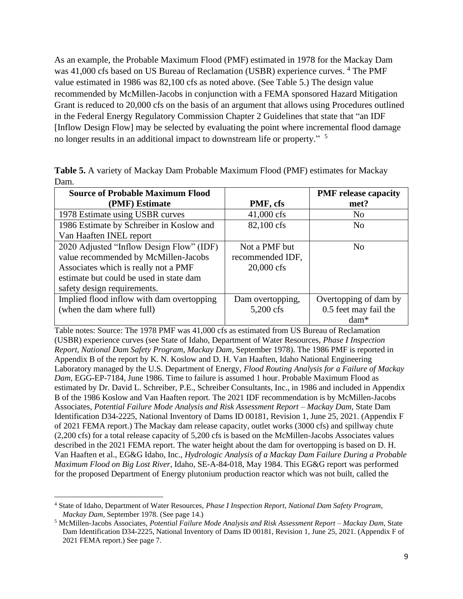As an example, the Probable Maximum Flood (PMF) estimated in 1978 for the Mackay Dam was 41,000 cfs based on US Bureau of Reclamation (USBR) experience curves. <sup>4</sup> The PMF value estimated in 1986 was 82,100 cfs as noted above. (See Table 5.) The design value recommended by McMillen-Jacobs in conjunction with a FEMA sponsored Hazard Mitigation Grant is reduced to 20,000 cfs on the basis of an argument that allows using Procedures outlined in the Federal Energy Regulatory Commission Chapter 2 Guidelines that state that "an IDF [Inflow Design Flow] may be selected by evaluating the point where incremental flood damage no longer results in an additional impact to downstream life or property." <sup>5</sup>

|      | <b>Table 5.</b> A variety of Mackay Dam Probable Maximum Flood (PMF) estimates for Mackay |  |  |  |
|------|-------------------------------------------------------------------------------------------|--|--|--|
| Dam. |                                                                                           |  |  |  |

| <b>Source of Probable Maximum Flood</b>   |                      | <b>PMF</b> release capacity |
|-------------------------------------------|----------------------|-----------------------------|
| (PMF) Estimate                            | PMF, cfs             | met?                        |
| 1978 Estimate using USBR curves           | $41,000 \text{ cfs}$ | N <sub>0</sub>              |
| 1986 Estimate by Schreiber in Koslow and  | 82,100 cfs           | N <sub>0</sub>              |
| Van Haaften INEL report                   |                      |                             |
| 2020 Adjusted "Inflow Design Flow" (IDF)  | Not a PMF but        | N <sub>0</sub>              |
| value recommended by McMillen-Jacobs      | recommended IDF,     |                             |
| Associates which is really not a PMF      | 20,000 cfs           |                             |
| estimate but could be used in state dam   |                      |                             |
| safety design requirements.               |                      |                             |
| Implied flood inflow with dam overtopping | Dam overtopping,     | Overtopping of dam by       |
| (when the dam where full)                 | 5,200 cfs            | 0.5 feet may fail the       |
|                                           |                      | dam*                        |

Table notes: Source: The 1978 PMF was 41,000 cfs as estimated from US Bureau of Reclamation (USBR) experience curves (see State of Idaho, Department of Water Resources, *Phase I Inspection Report, National Dam Safety Program, Mackay Dam*, September 1978). The 1986 PMF is reported in Appendix B of the report by K. N. Koslow and D. H. Van Haaften, Idaho National Engineering Laboratory managed by the U.S. Department of Energy, *Flood Routing Analysis for a Failure of Mackay Dam*, EGG-EP-7184, June 1986. Time to failure is assumed 1 hour. Probable Maximum Flood as estimated by Dr. David L. Schreiber, P.E., Schreiber Consultants, Inc., in 1986 and included in Appendix B of the 1986 Koslow and Van Haaften report. The 2021 IDF recommendation is by McMillen-Jacobs Associates, *Potential Failure Mode Analysis and Risk Assessment Report – Mackay Dam*, State Dam Identification D34-2225, National Inventory of Dams ID 00181, Revision 1, June 25, 2021. (Appendix F of 2021 FEMA report.) The Mackay dam release capacity, outlet works (3000 cfs) and spillway chute (2,200 cfs) for a total release capacity of 5,200 cfs is based on the McMillen-Jacobs Associates values described in the 2021 FEMA report. The water height about the dam for overtopping is based on D. H. Van Haaften et al., EG&G Idaho, Inc., *Hydrologic Analysis of a Mackay Dam Failure During a Probable Maximum Flood on Big Lost River*, Idaho, SE-A-84-018, May 1984. This EG&G report was performed for the proposed Department of Energy plutonium production reactor which was not built, called the

<sup>4</sup> State of Idaho, Department of Water Resources, *Phase I Inspection Report, National Dam Safety Program, Mackay Dam*, September 1978. (See page 14.)

<sup>5</sup> McMillen-Jacobs Associates, *Potential Failure Mode Analysis and Risk Assessment Report – Mackay Dam*, State Dam Identification D34-2225, National Inventory of Dams ID 00181, Revision 1, June 25, 2021. (Appendix F of 2021 FEMA report.) See page 7.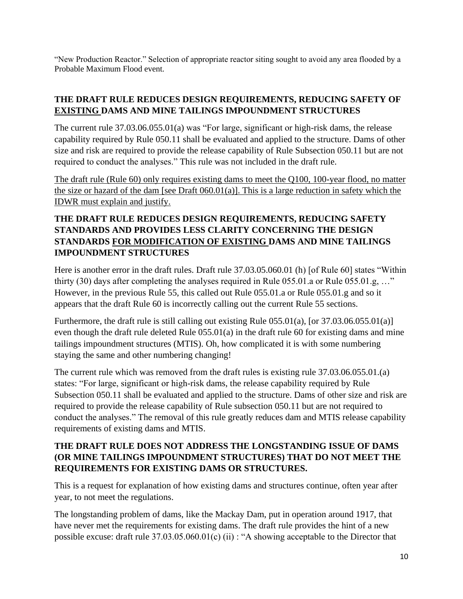"New Production Reactor." Selection of appropriate reactor siting sought to avoid any area flooded by a Probable Maximum Flood event.

#### **THE DRAFT RULE REDUCES DESIGN REQUIREMENTS, REDUCING SAFETY OF EXISTING DAMS AND MINE TAILINGS IMPOUNDMENT STRUCTURES**

The current rule 37.03.06.055.01(a) was "For large, significant or high-risk dams, the release capability required by Rule 050.11 shall be evaluated and applied to the structure. Dams of other size and risk are required to provide the release capability of Rule Subsection 050.11 but are not required to conduct the analyses." This rule was not included in the draft rule.

The draft rule (Rule 60) only requires existing dams to meet the Q100, 100-year flood, no matter the size or hazard of the dam [see Draft 060.01(a)]. This is a large reduction in safety which the IDWR must explain and justify.

# **THE DRAFT RULE REDUCES DESIGN REQUIREMENTS, REDUCING SAFETY STANDARDS AND PROVIDES LESS CLARITY CONCERNING THE DESIGN STANDARDS FOR MODIFICATION OF EXISTING DAMS AND MINE TAILINGS IMPOUNDMENT STRUCTURES**

Here is another error in the draft rules. Draft rule 37.03.05.060.01 (h) [of Rule 60] states "Within thirty (30) days after completing the analyses required in Rule 055.01.a or Rule 055.01.g, ..." However, in the previous Rule 55, this called out Rule 055.01.a or Rule 055.01.g and so it appears that the draft Rule 60 is incorrectly calling out the current Rule 55 sections.

Furthermore, the draft rule is still calling out existing Rule 055.01(a), [or 37.03.06.055.01(a)] even though the draft rule deleted Rule 055.01(a) in the draft rule 60 for existing dams and mine tailings impoundment structures (MTIS). Oh, how complicated it is with some numbering staying the same and other numbering changing!

The current rule which was removed from the draft rules is existing rule 37.03.06.055.01.(a) states: "For large, significant or high-risk dams, the release capability required by Rule Subsection 050.11 shall be evaluated and applied to the structure. Dams of other size and risk are required to provide the release capability of Rule subsection 050.11 but are not required to conduct the analyses." The removal of this rule greatly reduces dam and MTIS release capability requirements of existing dams and MTIS.

# **THE DRAFT RULE DOES NOT ADDRESS THE LONGSTANDING ISSUE OF DAMS (OR MINE TAILINGS IMPOUNDMENT STRUCTURES) THAT DO NOT MEET THE REQUIREMENTS FOR EXISTING DAMS OR STRUCTURES.**

This is a request for explanation of how existing dams and structures continue, often year after year, to not meet the regulations.

The longstanding problem of dams, like the Mackay Dam, put in operation around 1917, that have never met the requirements for existing dams. The draft rule provides the hint of a new possible excuse: draft rule 37.03.05.060.01(c) (ii) : "A showing acceptable to the Director that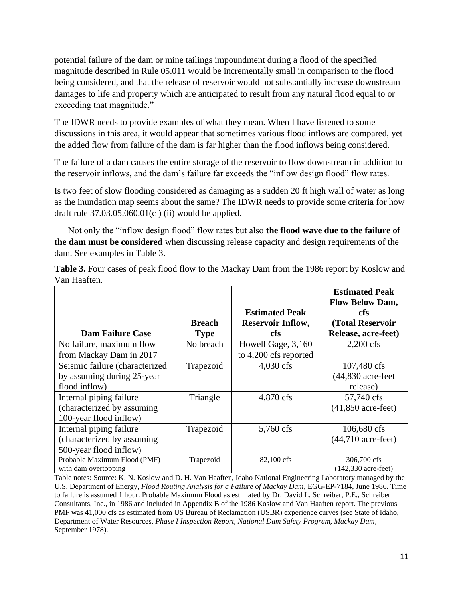potential failure of the dam or mine tailings impoundment during a flood of the specified magnitude described in Rule 05.011 would be incrementally small in comparison to the flood being considered, and that the release of reservoir would not substantially increase downstream damages to life and property which are anticipated to result from any natural flood equal to or exceeding that magnitude."

The IDWR needs to provide examples of what they mean. When I have listened to some discussions in this area, it would appear that sometimes various flood inflows are compared, yet the added flow from failure of the dam is far higher than the flood inflows being considered.

The failure of a dam causes the entire storage of the reservoir to flow downstream in addition to the reservoir inflows, and the dam's failure far exceeds the "inflow design flood" flow rates.

Is two feet of slow flooding considered as damaging as a sudden 20 ft high wall of water as long as the inundation map seems about the same? The IDWR needs to provide some criteria for how draft rule  $37.03.05.060.01(c)$  (ii) would be applied.

Not only the "inflow design flood" flow rates but also **the flood wave due to the failure of the dam must be considered** when discussing release capacity and design requirements of the dam. See examples in Table 3.

| Table 3. Four cases of peak flood flow to the Mackay Dam from the 1986 report by Koslow and |  |  |
|---------------------------------------------------------------------------------------------|--|--|
| Van Haaften.                                                                                |  |  |

|                                |               |                          | <b>Estimated Peak</b>         |
|--------------------------------|---------------|--------------------------|-------------------------------|
|                                |               | <b>Estimated Peak</b>    | <b>Flow Below Dam,</b><br>cfs |
|                                | <b>Breach</b> | <b>Reservoir Inflow,</b> | (Total Reservoir              |
| <b>Dam Failure Case</b>        | <b>Type</b>   | cfs                      | Release, acre-feet)           |
| No failure, maximum flow       | No breach     | Howell Gage, 3,160       | $2,200$ cfs                   |
| from Mackay Dam in 2017        |               | to 4,200 cfs reported    |                               |
| Seismic failure (characterized | Trapezoid     | $4,030$ cfs              | 107,480 cfs                   |
| by assuming during 25-year     |               |                          | $(44,830$ acre-feet           |
| flood inflow)                  |               |                          | release)                      |
| Internal piping failure        | Triangle      | 4,870 cfs                | 57,740 cfs                    |
| (characterized by assuming)    |               |                          | $(41,850$ acre-feet)          |
| 100-year flood inflow)         |               |                          |                               |
| Internal piping failure        | Trapezoid     | 5,760 cfs                | 106,680 cfs                   |
| (characterized by assuming)    |               |                          | $(44,710$ acre-feet)          |
| 500-year flood inflow)         |               |                          |                               |
| Probable Maximum Flood (PMF)   | Trapezoid     | 82,100 cfs               | 306,700 cfs                   |
| with dam overtopping           |               |                          | $(142,330 \text{ acre-feet})$ |

Table notes: Source: K. N. Koslow and D. H. Van Haaften, Idaho National Engineering Laboratory managed by the U.S. Department of Energy, *Flood Routing Analysis for a Failure of Mackay Dam*, EGG-EP-7184, June 1986. Time to failure is assumed 1 hour. Probable Maximum Flood as estimated by Dr. David L. Schreiber, P.E., Schreiber Consultants, Inc., in 1986 and included in Appendix B of the 1986 Koslow and Van Haaften report. The previous PMF was 41,000 cfs as estimated from US Bureau of Reclamation (USBR) experience curves (see State of Idaho, Department of Water Resources, *Phase I Inspection Report, National Dam Safety Program, Mackay Dam*, September 1978).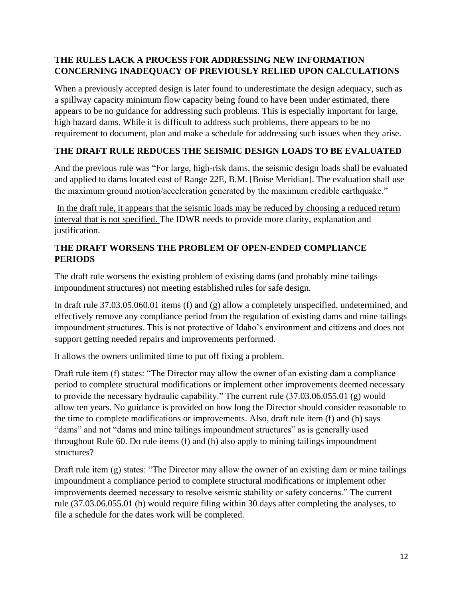### **THE RULES LACK A PROCESS FOR ADDRESSING NEW INFORMATION CONCERNING INADEQUACY OF PREVIOUSLY RELIED UPON CALCULATIONS**

When a previously accepted design is later found to underestimate the design adequacy, such as a spillway capacity minimum flow capacity being found to have been under estimated, there appears to be no guidance for addressing such problems. This is especially important for large, high hazard dams. While it is difficult to address such problems, there appears to be no requirement to document, plan and make a schedule for addressing such issues when they arise.

# **THE DRAFT RULE REDUCES THE SEISMIC DESIGN LOADS TO BE EVALUATED**

And the previous rule was "For large, high-risk dams, the seismic design loads shall be evaluated and applied to dams located east of Range 22E, B.M. [Boise Meridian]. The evaluation shall use the maximum ground motion/acceleration generated by the maximum credible earthquake."

In the draft rule, it appears that the seismic loads may be reduced by choosing a reduced return interval that is not specified. The IDWR needs to provide more clarity, explanation and justification.

## **THE DRAFT WORSENS THE PROBLEM OF OPEN-ENDED COMPLIANCE PERIODS**

The draft rule worsens the existing problem of existing dams (and probably mine tailings impoundment structures) not meeting established rules for safe design.

In draft rule 37.03.05.060.01 items (f) and (g) allow a completely unspecified, undetermined, and effectively remove any compliance period from the regulation of existing dams and mine tailings impoundment structures. This is not protective of Idaho's environment and citizens and does not support getting needed repairs and improvements performed.

It allows the owners unlimited time to put off fixing a problem.

Draft rule item (f) states: "The Director may allow the owner of an existing dam a compliance period to complete structural modifications or implement other improvements deemed necessary to provide the necessary hydraulic capability." The current rule (37.03.06.055.01 (g) would allow ten years. No guidance is provided on how long the Director should consider reasonable to the time to complete modifications or improvements. Also, draft rule item (f) and (h) says "dams" and not "dams and mine tailings impoundment structures" as is generally used throughout Rule 60. Do rule items (f) and (h) also apply to mining tailings impoundment structures?

Draft rule item (g) states: "The Director may allow the owner of an existing dam or mine tailings impoundment a compliance period to complete structural modifications or implement other improvements deemed necessary to resolve seismic stability or safety concerns." The current rule (37.03.06.055.01 (h) would require filing within 30 days after completing the analyses, to file a schedule for the dates work will be completed.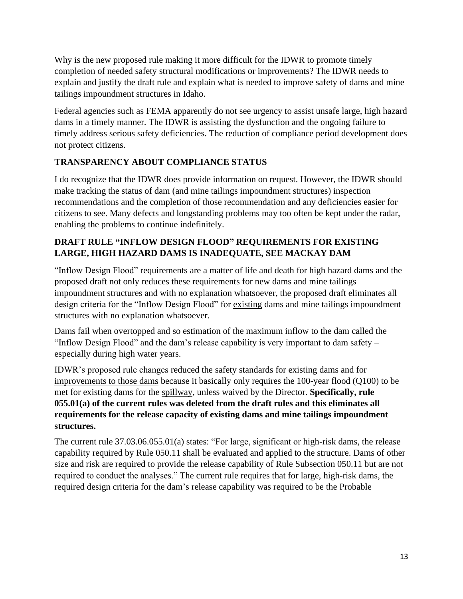Why is the new proposed rule making it more difficult for the IDWR to promote timely completion of needed safety structural modifications or improvements? The IDWR needs to explain and justify the draft rule and explain what is needed to improve safety of dams and mine tailings impoundment structures in Idaho.

Federal agencies such as FEMA apparently do not see urgency to assist unsafe large, high hazard dams in a timely manner. The IDWR is assisting the dysfunction and the ongoing failure to timely address serious safety deficiencies. The reduction of compliance period development does not protect citizens.

# **TRANSPARENCY ABOUT COMPLIANCE STATUS**

I do recognize that the IDWR does provide information on request. However, the IDWR should make tracking the status of dam (and mine tailings impoundment structures) inspection recommendations and the completion of those recommendation and any deficiencies easier for citizens to see. Many defects and longstanding problems may too often be kept under the radar, enabling the problems to continue indefinitely.

### **DRAFT RULE "INFLOW DESIGN FLOOD" REQUIREMENTS FOR EXISTING LARGE, HIGH HAZARD DAMS IS INADEQUATE, SEE MACKAY DAM**

"Inflow Design Flood" requirements are a matter of life and death for high hazard dams and the proposed draft not only reduces these requirements for new dams and mine tailings impoundment structures and with no explanation whatsoever, the proposed draft eliminates all design criteria for the "Inflow Design Flood" for existing dams and mine tailings impoundment structures with no explanation whatsoever.

Dams fail when overtopped and so estimation of the maximum inflow to the dam called the "Inflow Design Flood" and the dam's release capability is very important to dam safety – especially during high water years.

IDWR's proposed rule changes reduced the safety standards for existing dams and for improvements to those dams because it basically only requires the 100-year flood (Q100) to be met for existing dams for the spillway, unless waived by the Director. **Specifically, rule 055.01(a) of the current rules was deleted from the draft rules and this eliminates all requirements for the release capacity of existing dams and mine tailings impoundment structures.**

The current rule 37.03.06.055.01(a) states: "For large, significant or high-risk dams, the release capability required by Rule 050.11 shall be evaluated and applied to the structure. Dams of other size and risk are required to provide the release capability of Rule Subsection 050.11 but are not required to conduct the analyses." The current rule requires that for large, high-risk dams, the required design criteria for the dam's release capability was required to be the Probable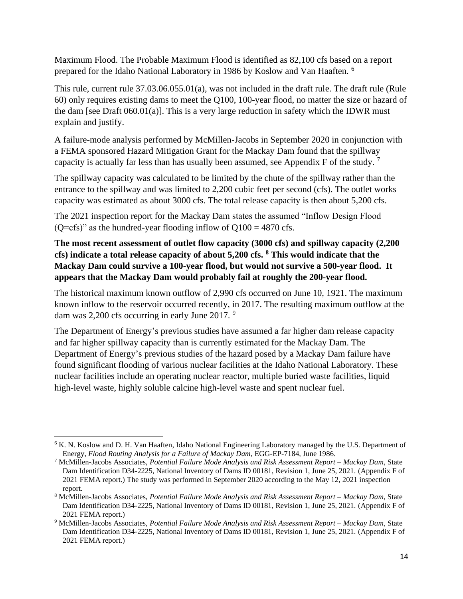Maximum Flood. The Probable Maximum Flood is identified as 82,100 cfs based on a report prepared for the Idaho National Laboratory in 1986 by Koslow and Van Haaften. <sup>6</sup>

This rule, current rule 37.03.06.055.01(a), was not included in the draft rule. The draft rule (Rule 60) only requires existing dams to meet the Q100, 100-year flood, no matter the size or hazard of the dam [see Draft 060.01(a)]. This is a very large reduction in safety which the IDWR must explain and justify.

A failure-mode analysis performed by McMillen-Jacobs in September 2020 in conjunction with a FEMA sponsored Hazard Mitigation Grant for the Mackay Dam found that the spillway capacity is actually far less than has usually been assumed, see Appendix F of the study. <sup>7</sup>

The spillway capacity was calculated to be limited by the chute of the spillway rather than the entrance to the spillway and was limited to 2,200 cubic feet per second (cfs). The outlet works capacity was estimated as about 3000 cfs. The total release capacity is then about 5,200 cfs.

The 2021 inspection report for the Mackay Dam states the assumed "Inflow Design Flood ( $Q = cfs$ )" as the hundred-year flooding inflow of  $Q = 0.4870$  cfs.

**The most recent assessment of outlet flow capacity (3000 cfs) and spillway capacity (2,200 cfs) indicate a total release capacity of about 5,200 cfs. <sup>8</sup> This would indicate that the Mackay Dam could survive a 100-year flood, but would not survive a 500-year flood. It appears that the Mackay Dam would probably fail at roughly the 200-year flood.**

The historical maximum known outflow of 2,990 cfs occurred on June 10, 1921. The maximum known inflow to the reservoir occurred recently, in 2017. The resulting maximum outflow at the dam was 2,200 cfs occurring in early June  $2017.$ <sup>9</sup>

The Department of Energy's previous studies have assumed a far higher dam release capacity and far higher spillway capacity than is currently estimated for the Mackay Dam. The Department of Energy's previous studies of the hazard posed by a Mackay Dam failure have found significant flooding of various nuclear facilities at the Idaho National Laboratory. These nuclear facilities include an operating nuclear reactor, multiple buried waste facilities, liquid high-level waste, highly soluble calcine high-level waste and spent nuclear fuel.

<sup>&</sup>lt;sup>6</sup> K. N. Koslow and D. H. Van Haaften, Idaho National Engineering Laboratory managed by the U.S. Department of Energy, *Flood Routing Analysis for a Failure of Mackay Dam*, EGG-EP-7184, June 1986.

<sup>7</sup> McMillen-Jacobs Associates, *Potential Failure Mode Analysis and Risk Assessment Report – Mackay Dam*, State Dam Identification D34-2225, National Inventory of Dams ID 00181, Revision 1, June 25, 2021. (Appendix F of 2021 FEMA report.) The study was performed in September 2020 according to the May 12, 2021 inspection report.

<sup>8</sup> McMillen-Jacobs Associates, *Potential Failure Mode Analysis and Risk Assessment Report – Mackay Dam*, State Dam Identification D34-2225, National Inventory of Dams ID 00181, Revision 1, June 25, 2021. (Appendix F of 2021 FEMA report.)

<sup>9</sup> McMillen-Jacobs Associates, *Potential Failure Mode Analysis and Risk Assessment Report – Mackay Dam*, State Dam Identification D34-2225, National Inventory of Dams ID 00181, Revision 1, June 25, 2021. (Appendix F of 2021 FEMA report.)